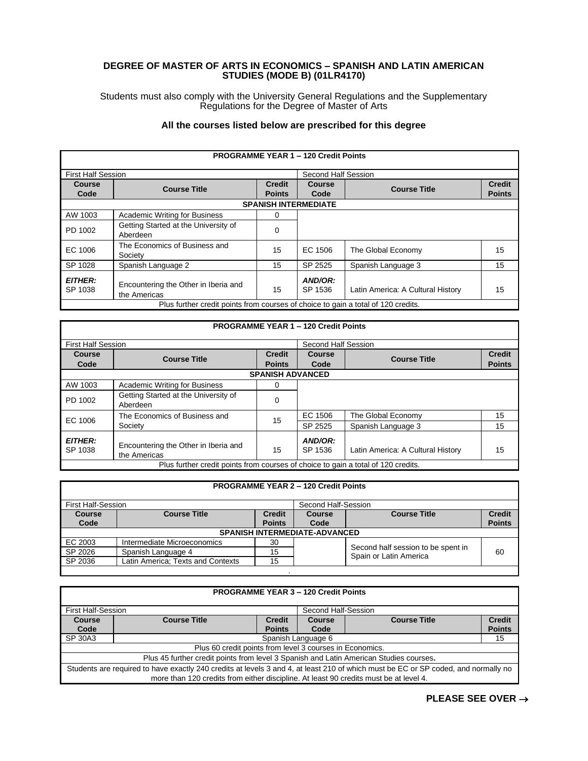## **DEGREE OF MASTER OF ARTS IN ECONOMICS – SPANISH AND LATIN AMERICAN STUDIES (MODE B) (01LR4170)**

Students must also comply with the University General Regulations and the Supplementary Regulations for the Degree of Master of Arts

## **All the courses listed below are prescribed for this degree**

| <b>PROGRAMME YEAR 1 - 120 Credit Points</b>                                       |                                      |               |                     |                                   |               |  |
|-----------------------------------------------------------------------------------|--------------------------------------|---------------|---------------------|-----------------------------------|---------------|--|
| <b>First Half Session</b>                                                         |                                      |               | Second Half Session |                                   |               |  |
| Course                                                                            | <b>Course Title</b>                  | <b>Credit</b> | Course              | <b>Course Title</b>               | <b>Credit</b> |  |
| Code                                                                              |                                      | <b>Points</b> | Code                |                                   | <b>Points</b> |  |
|                                                                                   | <b>SPANISH INTERMEDIATE</b>          |               |                     |                                   |               |  |
| AW 1003                                                                           | <b>Academic Writing for Business</b> | 0             |                     |                                   |               |  |
| PD 1002                                                                           | Getting Started at the University of | 0             |                     |                                   |               |  |
|                                                                                   | Aberdeen                             |               |                     |                                   |               |  |
| EC 1006                                                                           | The Economics of Business and        | 15            | EC 1506             | The Global Economy                | 15            |  |
|                                                                                   | Society                              |               |                     |                                   |               |  |
| SP 1028                                                                           | Spanish Language 2                   | 15            | SP 2525             | Spanish Language 3                | 15            |  |
| <b>EITHER:</b>                                                                    |                                      |               | AND/OR:             |                                   |               |  |
| SP 1038                                                                           | Encountering the Other in Iberia and | 15            | SP 1536             | Latin America: A Cultural History | 15            |  |
|                                                                                   | the Americas                         |               |                     |                                   |               |  |
| Plus further credit points from courses of choice to gain a total of 120 credits. |                                      |               |                     |                                   |               |  |

| <b>PROGRAMME YEAR 1 - 120 Credit Points</b>                                       |                                                      |                                |                       |                                   |                                |  |  |
|-----------------------------------------------------------------------------------|------------------------------------------------------|--------------------------------|-----------------------|-----------------------------------|--------------------------------|--|--|
| <b>First Half Session</b>                                                         |                                                      |                                | Second Half Session   |                                   |                                |  |  |
| Course<br>Code                                                                    | <b>Course Title</b>                                  | <b>Credit</b><br><b>Points</b> | <b>Course</b><br>Code | <b>Course Title</b>               | <b>Credit</b><br><b>Points</b> |  |  |
|                                                                                   | <b>SPANISH ADVANCED</b>                              |                                |                       |                                   |                                |  |  |
| AW 1003                                                                           | <b>Academic Writing for Business</b>                 | 0                              |                       |                                   |                                |  |  |
| PD 1002                                                                           | Getting Started at the University of<br>Aberdeen     | 0                              |                       |                                   |                                |  |  |
| EC 1006                                                                           | The Economics of Business and                        | 15                             | EC 1506               | The Global Economy                | 15                             |  |  |
|                                                                                   | Society                                              |                                | SP 2525               | Spanish Language 3                | 15                             |  |  |
| <b>EITHER:</b><br>SP 1038                                                         | Encountering the Other in Iberia and<br>the Americas | 15                             | AND/OR:<br>SP 1536    | Latin America: A Cultural History | 15                             |  |  |
| Plus further credit points from courses of choice to gain a total of 120 credits. |                                                      |                                |                       |                                   |                                |  |  |

|                | <b>PROGRAMME YEAR 2 - 120 Credit Points</b>      |                                |                |                                                              |                                |
|----------------|--------------------------------------------------|--------------------------------|----------------|--------------------------------------------------------------|--------------------------------|
|                | <b>First Half-Session</b><br>Second Half-Session |                                |                |                                                              |                                |
| Course<br>Code | <b>Course Title</b>                              | <b>Credit</b><br><b>Points</b> | Course<br>Code | <b>Course Title</b>                                          | <b>Credit</b><br><b>Points</b> |
|                | <b>SPANISH INTERMEDIATE-ADVANCED</b>             |                                |                |                                                              |                                |
| EC 2003        | Intermediate Microeconomics                      | 30                             |                |                                                              |                                |
| SP 2026        | Spanish Language 4                               | 15                             |                | Second half session to be spent in<br>Spain or Latin America | 60                             |
| SP 2036        | Latin America; Texts and Contexts                | 15                             |                |                                                              |                                |
|                |                                                  |                                |                |                                                              |                                |

| <b>PROGRAMME YEAR 3 - 120 Credit Points</b>                                                                                        |                     |                                |                |                     |                                |
|------------------------------------------------------------------------------------------------------------------------------------|---------------------|--------------------------------|----------------|---------------------|--------------------------------|
| <b>First Half-Session</b><br>Second Half-Session                                                                                   |                     |                                |                |                     |                                |
| <b>Course</b><br>Code                                                                                                              | <b>Course Title</b> | <b>Credit</b><br><b>Points</b> | Course<br>Code | <b>Course Title</b> | <b>Credit</b><br><b>Points</b> |
| SP 30A3                                                                                                                            |                     | Spanish Language 6<br>15       |                |                     |                                |
| Plus 60 credit points from level 3 courses in Economics.                                                                           |                     |                                |                |                     |                                |
| Plus 45 further credit points from level 3 Spanish and Latin American Studies courses.                                             |                     |                                |                |                     |                                |
| Students are required to have exactly 240 credits at levels 3 and 4, at least 210 of which must be EC or SP coded, and normally no |                     |                                |                |                     |                                |
| more than 120 credits from either discipline. At least 90 credits must be at level 4.                                              |                     |                                |                |                     |                                |